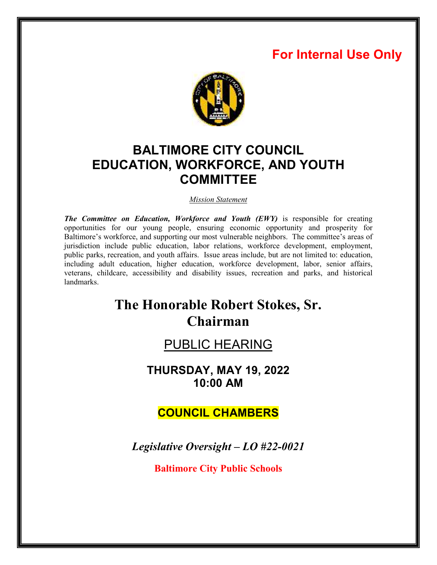## **For Internal Use Only**



## **BALTIMORE CITY COUNCIL EDUCATION, WORKFORCE, AND YOUTH COMMITTEE**

*Mission Statement* 

*The Committee on Education, Workforce and Youth (EWY)* is responsible for creating opportunities for our young people, ensuring economic opportunity and prosperity for Baltimore's workforce, and supporting our most vulnerable neighbors. The committee's areas of jurisdiction include public education, labor relations, workforce development, employment, public parks, recreation, and youth affairs. Issue areas include, but are not limited to: education, including adult education, higher education, workforce development, labor, senior affairs, veterans, childcare, accessibility and disability issues, recreation and parks, and historical landmarks.

# **The Honorable Robert Stokes, Sr. Chairman**

## PUBLIC HEARING

**THURSDAY, MAY 19, 2022 10:00 AM** 

## **COUNCIL CHAMBERS**

*Legislative Oversight – LO #22-0021* 

**Baltimore City Public Schools**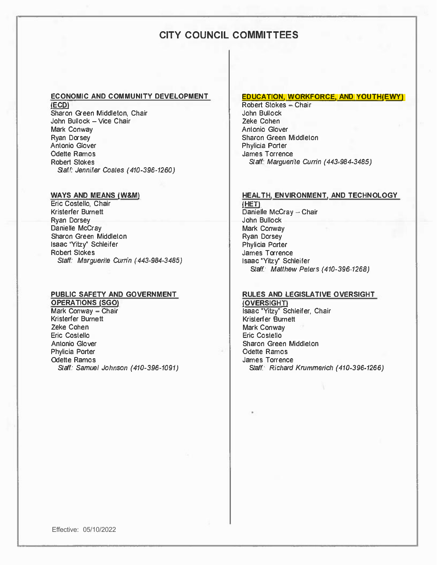### **CITY COUNCIL COMMITTEES**

#### **ECONOMIC AND COMMUNITY DEVELOPMENT**

**(EcD**  Sharon Green Middleton, Chair John Bullock -- Vice Chair Mark Conway Ryan Dorsey Antonio Glover Odette Ramos Robert Stokes *Staff: Jennifer* Coates *(410-396-1260)* 

#### **WAYS AND MEANS (W&M)**

Eric Costello, Chair Kristerfer Burnett Ryan Dorsey Danielle McCray Sharon Green Middleton Isaac "Yitzy" Schleifer Robert Stokes *Staff: Marguerite Currin (443-984-3485)* 

#### **PUBLIC SAFETY AND GOVERNMENT**

**OPERATIONS (SGO)**  Mark Conway  $-$  Chair *Staff: Samuel Johnson (410-396-1091)*  Kristerfer Burnett Zeke Cohen Eric Costello Antonio Glover Phylicia Porter Odette Ramos

#### **EDUCATION, WORKFORCE, AND YOUTH(EWY]**

Robert Stokes - Chair John Bullock Zeke Cohen Antonio Glover Sharon Green Middleton Phylicia Porter James Torrence Staff. *Marguerite Currin (443-984-3485)* 

#### **HEAL TH, ENVIRONMENT, AND TECHNOLOGY**

**[HET)**  Danielle McCray - Chair John Bullock Mark Conway Ryan Dorsey Phylicia Porter James Torrence Isaac "Yitzy" Schleifer Staff: *Matthew Peters (410-396-1268)* 

#### **RULES AND LEGISLATIVE OVERSIGHT**

**(OVERSIGHT)**  Isaac "Yitzy" Schleifer, Chair Kristerfer Burnett Mark Conway Eric Costello Sharon Green Middleton Odette Ramos James Torrence Staff: *Richard Krummerich (410-396-1266)*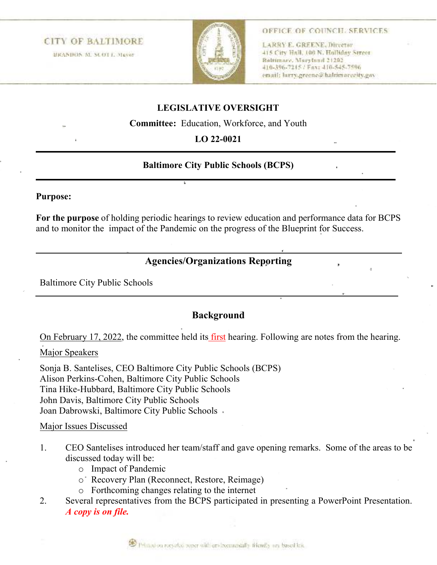### **CITY OF BALTIMORE**

HRANDON M. SCOT L. Mayor



#### OFFICE OF COUNCH, SERVICES

LARRY E. GREENE, Director 415 City Hall, 100 N. Holliday Street **Baltimore, Maryland 21202** 410-596-7215 / Fax: 410-545-7596 email: http://greene@baltimocecity.gav

## **LEGISLATIVE OVERSIGHT**

**Committee:** Education, Workforce, and Youth

### **LO 22-0021**

#### **Baltimore City Public Schools (BCPS)**

#### **Purpose:**

**For the purpose** of holding periodic hearings to review education and performance data for BCPS and to monitor the impact of the Pandemic on the progress of the Blueprint for Success.

## **Agencies/Organizations Reporting**

Baltimore City Public Schools

### **Background**

On February 17, 2022, the committee held its first hearing. Following are notes from the hearing.

#### Major Speakers

Sonja B. Santelises, CEO Baltimore City Public Schools (BCPS) Alison Perkins-Cohen, Baltimore City Public Schools Tina Hike-Hubbard, Baltimore City Public Schools John Davis, Baltimore City Public Schools Joan Dabrowski, Baltimore City Public Schools

#### Major Issues Discussed

- 1. CEO Santelises introduced her team/staff and gave opening remarks. Some of the areas to be discussed today will be:
	- o Impact of Pandemic
	- o Recovery Plan (Reconnect, Restore, Reimage)
	- o Forthcoming changes relating to the internet
- 2. Several representatives from the BCPS participated in presenting a PowerPoint Presentation. *A copy is on file.*

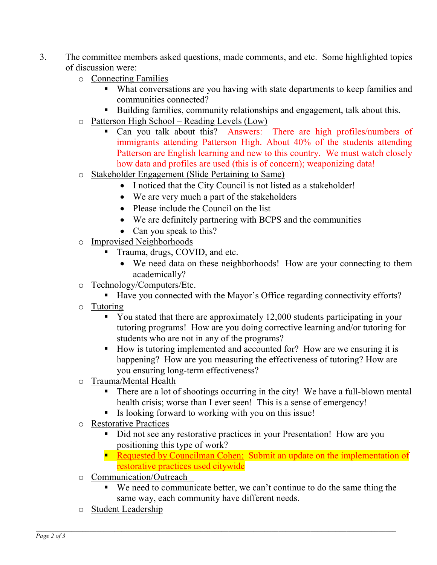- 3. The committee members asked questions, made comments, and etc. Some highlighted topics of discussion were:
	- o Connecting Families
		- What conversations are you having with state departments to keep families and communities connected?
		- Building families, community relationships and engagement, talk about this.
	- o Patterson High School Reading Levels (Low)
		- Can you talk about this? Answers: There are high profiles/numbers of immigrants attending Patterson High. About 40% of the students attending Patterson are English learning and new to this country. We must watch closely how data and profiles are used (this is of concern); weaponizing data!
	- o Stakeholder Engagement (Slide Pertaining to Same)
		- I noticed that the City Council is not listed as a stakeholder!
		- We are very much a part of the stakeholders
		- Please include the Council on the list
		- We are definitely partnering with BCPS and the communities
		- Can you speak to this?
	- o Improvised Neighborhoods
		- Trauma, drugs, COVID, and etc.
			- We need data on these neighborhoods! How are your connecting to them academically?
	- o Technology/Computers/Etc.
		- Have you connected with the Mayor's Office regarding connectivity efforts?
	- o Tutoring
		- You stated that there are approximately 12,000 students participating in your tutoring programs! How are you doing corrective learning and/or tutoring for students who are not in any of the programs?
		- How is tutoring implemented and accounted for? How are we ensuring it is happening? How are you measuring the effectiveness of tutoring? How are you ensuring long-term effectiveness?
	- o Trauma/Mental Health
		- There are a lot of shootings occurring in the city! We have a full-blown mental health crisis; worse than I ever seen! This is a sense of emergency!
		- Is looking forward to working with you on this issue!
	- o Restorative Practices
		- Did not see any restorative practices in your Presentation! How are you positioning this type of work?
		- **Requested by Councilman Cohen: Submit an update on the implementation of** restorative practices used citywide
	- o Communication/Outreach
		- We need to communicate better, we can't continue to do the same thing the same way, each community have different needs.
	- o Student Leadership